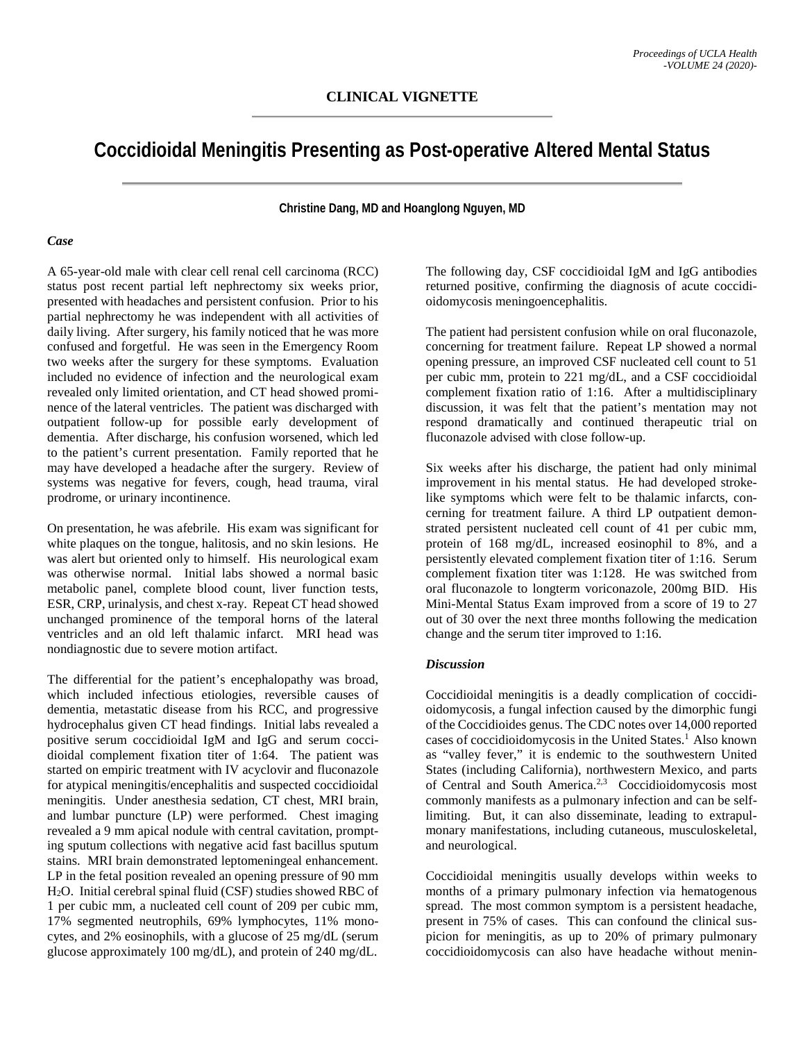# **Coccidioidal Meningitis Presenting as Post-operative Altered Mental Status**

**Christine Dang, MD and Hoanglong Nguyen, MD**

#### *Case*

A 65-year-old male with clear cell renal cell carcinoma (RCC) status post recent partial left nephrectomy six weeks prior, presented with headaches and persistent confusion. Prior to his partial nephrectomy he was independent with all activities of daily living. After surgery, his family noticed that he was more confused and forgetful. He was seen in the Emergency Room two weeks after the surgery for these symptoms. Evaluation included no evidence of infection and the neurological exam revealed only limited orientation, and CT head showed prominence of the lateral ventricles. The patient was discharged with outpatient follow-up for possible early development of dementia. After discharge, his confusion worsened, which led to the patient's current presentation. Family reported that he may have developed a headache after the surgery. Review of systems was negative for fevers, cough, head trauma, viral prodrome, or urinary incontinence.

On presentation, he was afebrile. His exam was significant for white plaques on the tongue, halitosis, and no skin lesions. He was alert but oriented only to himself. His neurological exam was otherwise normal. Initial labs showed a normal basic metabolic panel, complete blood count, liver function tests, ESR, CRP, urinalysis, and chest x-ray. Repeat CT head showed unchanged prominence of the temporal horns of the lateral ventricles and an old left thalamic infarct. MRI head was nondiagnostic due to severe motion artifact.

The differential for the patient's encephalopathy was broad, which included infectious etiologies, reversible causes of dementia, metastatic disease from his RCC, and progressive hydrocephalus given CT head findings. Initial labs revealed a positive serum coccidioidal IgM and IgG and serum coccidioidal complement fixation titer of 1:64. The patient was started on empiric treatment with IV acyclovir and fluconazole for atypical meningitis/encephalitis and suspected coccidioidal meningitis. Under anesthesia sedation, CT chest, MRI brain, and lumbar puncture (LP) were performed. Chest imaging revealed a 9 mm apical nodule with central cavitation, prompting sputum collections with negative acid fast bacillus sputum stains. MRI brain demonstrated leptomeningeal enhancement. LP in the fetal position revealed an opening pressure of 90 mm H2O. Initial cerebral spinal fluid (CSF) studies showed RBC of 1 per cubic mm, a nucleated cell count of 209 per cubic mm, 17% segmented neutrophils, 69% lymphocytes, 11% monocytes, and 2% eosinophils, with a glucose of 25 mg/dL (serum glucose approximately 100 mg/dL), and protein of 240 mg/dL.

The following day, CSF coccidioidal IgM and IgG antibodies returned positive, confirming the diagnosis of acute coccidioidomycosis meningoencephalitis.

The patient had persistent confusion while on oral fluconazole, concerning for treatment failure. Repeat LP showed a normal opening pressure, an improved CSF nucleated cell count to 51 per cubic mm, protein to 221 mg/dL, and a CSF coccidioidal complement fixation ratio of 1:16. After a multidisciplinary discussion, it was felt that the patient's mentation may not respond dramatically and continued therapeutic trial on fluconazole advised with close follow-up.

Six weeks after his discharge, the patient had only minimal improvement in his mental status. He had developed strokelike symptoms which were felt to be thalamic infarcts, concerning for treatment failure. A third LP outpatient demonstrated persistent nucleated cell count of 41 per cubic mm, protein of 168 mg/dL, increased eosinophil to 8%, and a persistently elevated complement fixation titer of 1:16. Serum complement fixation titer was 1:128. He was switched from oral fluconazole to longterm voriconazole, 200mg BID. His Mini-Mental Status Exam improved from a score of 19 to 27 out of 30 over the next three months following the medication change and the serum titer improved to 1:16.

#### *Discussion*

Coccidioidal meningitis is a deadly complication of coccidioidomycosis, a fungal infection caused by the dimorphic fungi of the Coccidioides genus. The CDC notes over 14,000 reported cases of coccidioidomycosis in the United States.<sup>1</sup> Also known as "valley fever," it is endemic to the southwestern United States (including California), northwestern Mexico, and parts of Central and South America.<sup>2,3</sup> Coccidioidomycosis most commonly manifests as a pulmonary infection and can be selflimiting. But, it can also disseminate, leading to extrapulmonary manifestations, including cutaneous, musculoskeletal, and neurological.

Coccidioidal meningitis usually develops within weeks to months of a primary pulmonary infection via hematogenous spread. The most common symptom is a persistent headache, present in 75% of cases. This can confound the clinical suspicion for meningitis, as up to 20% of primary pulmonary coccidioidomycosis can also have headache without menin-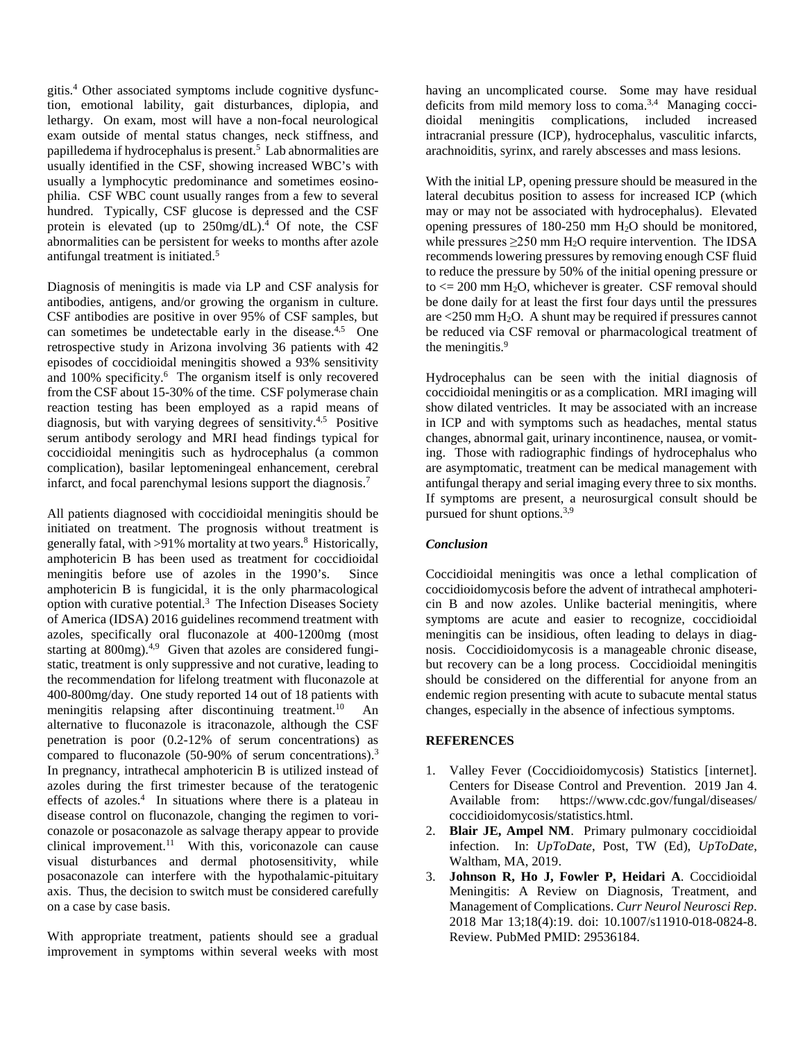gitis.4 Other associated symptoms include cognitive dysfunction, emotional lability, gait disturbances, diplopia, and lethargy. On exam, most will have a non-focal neurological exam outside of mental status changes, neck stiffness, and papilledema if hydrocephalus is present.<sup>5</sup> Lab abnormalities are usually identified in the CSF, showing increased WBC's with usually a lymphocytic predominance and sometimes eosinophilia. CSF WBC count usually ranges from a few to several hundred. Typically, CSF glucose is depressed and the CSF protein is elevated (up to  $250$ mg/dL).<sup>4</sup> Of note, the CSF abnormalities can be persistent for weeks to months after azole antifungal treatment is initiated.<sup>5</sup>

Diagnosis of meningitis is made via LP and CSF analysis for antibodies, antigens, and/or growing the organism in culture. CSF antibodies are positive in over 95% of CSF samples, but can sometimes be undetectable early in the disease.<sup>4,5</sup> One retrospective study in Arizona involving 36 patients with 42 episodes of coccidioidal meningitis showed a 93% sensitivity and 100% specificity.<sup>6</sup> The organism itself is only recovered from the CSF about 15-30% of the time. CSF polymerase chain reaction testing has been employed as a rapid means of diagnosis, but with varying degrees of sensitivity.4,5 Positive serum antibody serology and MRI head findings typical for coccidioidal meningitis such as hydrocephalus (a common complication), basilar leptomeningeal enhancement, cerebral infarct, and focal parenchymal lesions support the diagnosis.7

All patients diagnosed with coccidioidal meningitis should be initiated on treatment. The prognosis without treatment is generally fatal, with >91% mortality at two years.<sup>8</sup> Historically, amphotericin B has been used as treatment for coccidioidal meningitis before use of azoles in the 1990's. Since amphotericin B is fungicidal, it is the only pharmacological option with curative potential.<sup>3</sup> The Infection Diseases Society of America (IDSA) 2016 guidelines recommend treatment with azoles, specifically oral fluconazole at 400-1200mg (most starting at 800mg).<sup>4,9</sup> Given that azoles are considered fungistatic, treatment is only suppressive and not curative, leading to the recommendation for lifelong treatment with fluconazole at 400-800mg/day. One study reported 14 out of 18 patients with meningitis relapsing after discontinuing treatment.<sup>10</sup> An alternative to fluconazole is itraconazole, although the CSF penetration is poor (0.2-12% of serum concentrations) as compared to fluconazole (50-90% of serum concentrations).<sup>3</sup> In pregnancy, intrathecal amphotericin B is utilized instead of azoles during the first trimester because of the teratogenic effects of azoles.<sup>4</sup> In situations where there is a plateau in disease control on fluconazole, changing the regimen to voriconazole or posaconazole as salvage therapy appear to provide clinical improvement.<sup>11</sup> With this, voriconazole can cause visual disturbances and dermal photosensitivity, while posaconazole can interfere with the hypothalamic-pituitary axis. Thus, the decision to switch must be considered carefully on a case by case basis.

With appropriate treatment, patients should see a gradual improvement in symptoms within several weeks with most having an uncomplicated course. Some may have residual deficits from mild memory loss to coma.<sup>3,4</sup> Managing coccidioidal meningitis complications, included increased intracranial pressure (ICP), hydrocephalus, vasculitic infarcts, arachnoiditis, syrinx, and rarely abscesses and mass lesions.

With the initial LP, opening pressure should be measured in the lateral decubitus position to assess for increased ICP (which may or may not be associated with hydrocephalus). Elevated opening pressures of 180-250 mm H2O should be monitored, while pressures  $\geq$ 250 mm H<sub>2</sub>O require intervention. The IDSA recommends lowering pressures by removing enough CSF fluid to reduce the pressure by 50% of the initial opening pressure or to  $\le$  200 mm H<sub>2</sub>O, whichever is greater. CSF removal should be done daily for at least the first four days until the pressures are  $\leq$  250 mm H<sub>2</sub>O. A shunt may be required if pressures cannot be reduced via CSF removal or pharmacological treatment of the meningitis.<sup>9</sup>

Hydrocephalus can be seen with the initial diagnosis of coccidioidal meningitis or as a complication. MRI imaging will show dilated ventricles. It may be associated with an increase in ICP and with symptoms such as headaches, mental status changes, abnormal gait, urinary incontinence, nausea, or vomiting. Those with radiographic findings of hydrocephalus who are asymptomatic, treatment can be medical management with antifungal therapy and serial imaging every three to six months. If symptoms are present, a neurosurgical consult should be pursued for shunt options.<sup>3,9</sup>

## *Conclusion*

Coccidioidal meningitis was once a lethal complication of coccidioidomycosis before the advent of intrathecal amphotericin B and now azoles. Unlike bacterial meningitis, where symptoms are acute and easier to recognize, coccidioidal meningitis can be insidious, often leading to delays in diagnosis. Coccidioidomycosis is a manageable chronic disease, but recovery can be a long process. Coccidioidal meningitis should be considered on the differential for anyone from an endemic region presenting with acute to subacute mental status changes, especially in the absence of infectious symptoms.

### **REFERENCES**

- 1. Valley Fever (Coccidioidomycosis) Statistics [internet]. Centers for Disease Control and Prevention. 2019 Jan 4. Available from: https://www.cdc.gov/fungal/diseases/ coccidioidomycosis/statistics.html.
- 2. **Blair JE, Ampel NM**. Primary pulmonary coccidioidal infection. In: *UpToDate*, Post, TW (Ed), *UpToDate*, Waltham, MA, 2019.
- 3. **Johnson R, Ho J, Fowler P, Heidari A**. Coccidioidal Meningitis: A Review on Diagnosis, Treatment, and Management of Complications. *Curr Neurol Neurosci Rep*. 2018 Mar 13;18(4):19. doi: 10.1007/s11910-018-0824-8. Review. PubMed PMID: 29536184.